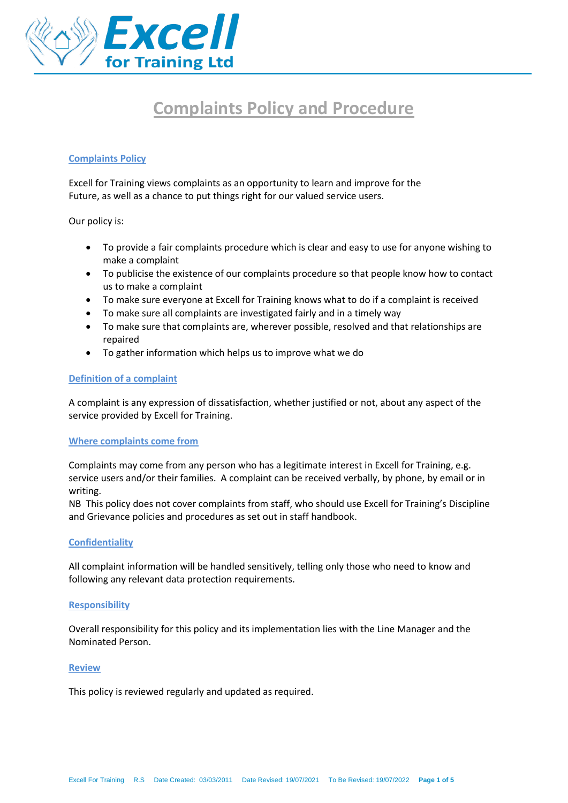

# **Complaints Policy and Procedure**

## **Complaints Policy**

Excell for Training views complaints as an opportunity to learn and improve for the Future, as well as a chance to put things right for our valued service users.

Our policy is:

- To provide a fair complaints procedure which is clear and easy to use for anyone wishing to make a complaint
- To publicise the existence of our complaints procedure so that people know how to contact us to make a complaint
- To make sure everyone at Excell for Training knows what to do if a complaint is received
- To make sure all complaints are investigated fairly and in a timely way
- To make sure that complaints are, wherever possible, resolved and that relationships are repaired
- To gather information which helps us to improve what we do

#### **Definition of a complaint**

A complaint is any expression of dissatisfaction, whether justified or not, about any aspect of the service provided by Excell for Training.

#### **Where complaints come from**

Complaints may come from any person who has a legitimate interest in Excell for Training, e.g. service users and/or their families. A complaint can be received verbally, by phone, by email or in writing.

NB This policy does not cover complaints from staff, who should use Excell for Training's Discipline and Grievance policies and procedures as set out in staff handbook.

#### **Confidentiality**

All complaint information will be handled sensitively, telling only those who need to know and following any relevant data protection requirements.

## **Responsibility**

Overall responsibility for this policy and its implementation lies with the Line Manager and the Nominated Person.

#### **Review**

This policy is reviewed regularly and updated as required.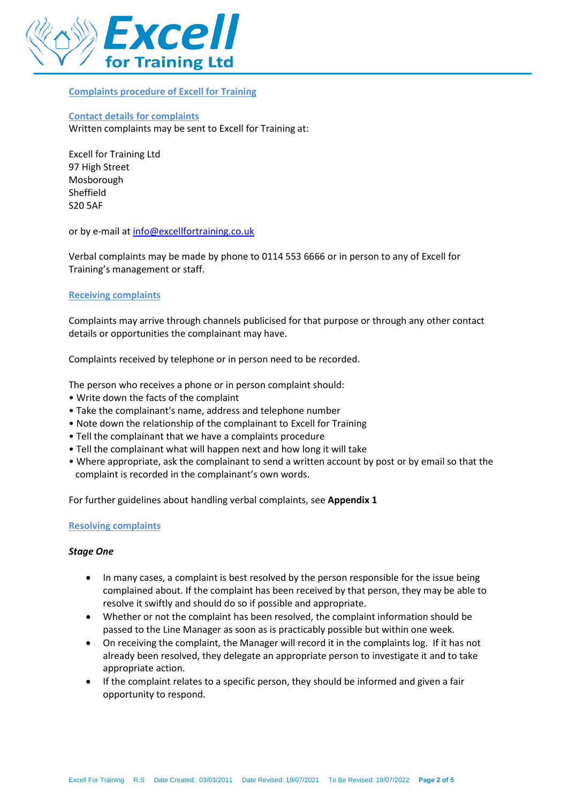

#### **Complaints procedure of Excell for Training**

## **Contact details for complaints**  Written complaints may be sent to Excell for Training at:

Excell for Training Ltd 97 High Street Mosborough Sheffield S20 5AF

or by e-mail at [info@excellfortraining.co.uk](mailto:info@excellfortraining.co.uk)

Verbal complaints may be made by phone to 0114 553 6666 or in person to any of Excell for Training's management or staff.

## **Receiving complaints**

Complaints may arrive through channels publicised for that purpose or through any other contact details or opportunities the complainant may have.

Complaints received by telephone or in person need to be recorded.

The person who receives a phone or in person complaint should:

- Write down the facts of the complaint
- Take the complainant's name, address and telephone number
- Note down the relationship of the complainant to Excell for Training
- Tell the complainant that we have a complaints procedure
- Tell the complainant what will happen next and how long it will take
- Where appropriate, ask the complainant to send a written account by post or by email so that the complaint is recorded in the complainant's own words.

For further guidelines about handling verbal complaints, see **Appendix 1**

## **Resolving complaints**

## *Stage One*

- In many cases, a complaint is best resolved by the person responsible for the issue being complained about. If the complaint has been received by that person, they may be able to resolve it swiftly and should do so if possible and appropriate.
- Whether or not the complaint has been resolved, the complaint information should be passed to the Line Manager as soon as is practicably possible but within one week.
- On receiving the complaint, the Manager will record it in the complaints log. If it has not already been resolved, they delegate an appropriate person to investigate it and to take appropriate action.
- If the complaint relates to a specific person, they should be informed and given a fair opportunity to respond.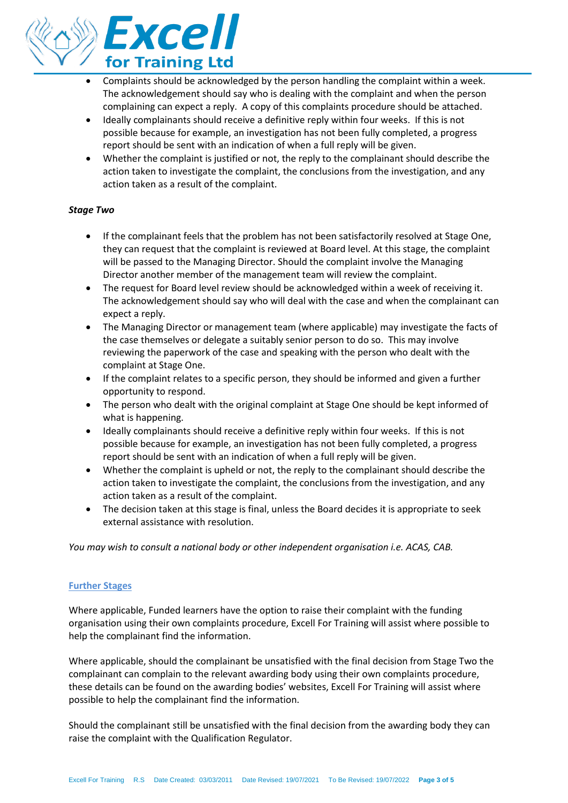

- Complaints should be acknowledged by the person handling the complaint within a week. The acknowledgement should say who is dealing with the complaint and when the person complaining can expect a reply. A copy of this complaints procedure should be attached.
- Ideally complainants should receive a definitive reply within four weeks. If this is not possible because for example, an investigation has not been fully completed, a progress report should be sent with an indication of when a full reply will be given.
- Whether the complaint is justified or not, the reply to the complainant should describe the action taken to investigate the complaint, the conclusions from the investigation, and any action taken as a result of the complaint.

## *Stage Two*

- If the complainant feels that the problem has not been satisfactorily resolved at Stage One, they can request that the complaint is reviewed at Board level. At this stage, the complaint will be passed to the Managing Director. Should the complaint involve the Managing Director another member of the management team will review the complaint.
- The request for Board level review should be acknowledged within a week of receiving it. The acknowledgement should say who will deal with the case and when the complainant can expect a reply.
- The Managing Director or management team (where applicable) may investigate the facts of the case themselves or delegate a suitably senior person to do so. This may involve reviewing the paperwork of the case and speaking with the person who dealt with the complaint at Stage One.
- If the complaint relates to a specific person, they should be informed and given a further opportunity to respond.
- The person who dealt with the original complaint at Stage One should be kept informed of what is happening.
- Ideally complainants should receive a definitive reply within four weeks. If this is not possible because for example, an investigation has not been fully completed, a progress report should be sent with an indication of when a full reply will be given.
- Whether the complaint is upheld or not, the reply to the complainant should describe the action taken to investigate the complaint, the conclusions from the investigation, and any action taken as a result of the complaint.
- The decision taken at this stage is final, unless the Board decides it is appropriate to seek external assistance with resolution.

*You may wish to consult a national body or other independent organisation i.e. ACAS, CAB.*

## **Further Stages**

Where applicable, Funded learners have the option to raise their complaint with the funding organisation using their own complaints procedure, Excell For Training will assist where possible to help the complainant find the information.

Where applicable, should the complainant be unsatisfied with the final decision from Stage Two the complainant can complain to the relevant awarding body using their own complaints procedure, these details can be found on the awarding bodies' websites, Excell For Training will assist where possible to help the complainant find the information.

Should the complainant still be unsatisfied with the final decision from the awarding body they can raise the complaint with the Qualification Regulator.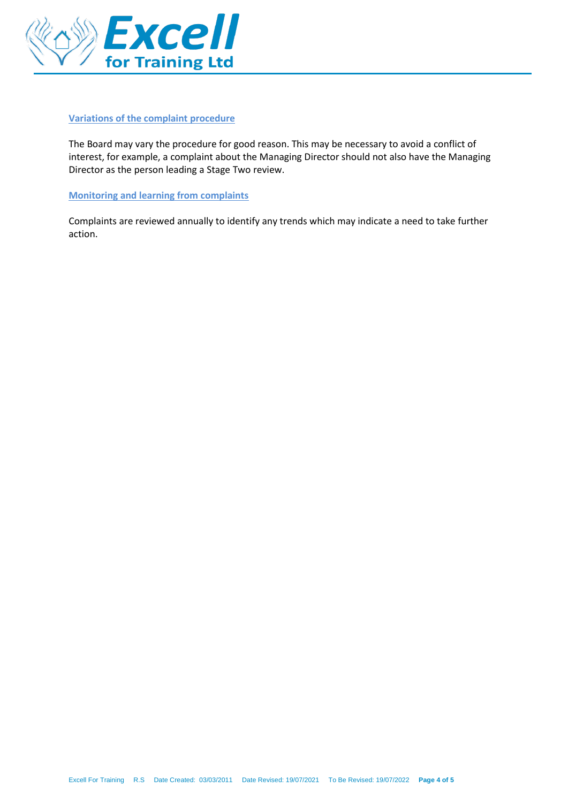

#### **Variations of the complaint procedure**

The Board may vary the procedure for good reason. This may be necessary to avoid a conflict of interest, for example, a complaint about the Managing Director should not also have the Managing Director as the person leading a Stage Two review.

**Monitoring and learning from complaints** 

Complaints are reviewed annually to identify any trends which may indicate a need to take further action.